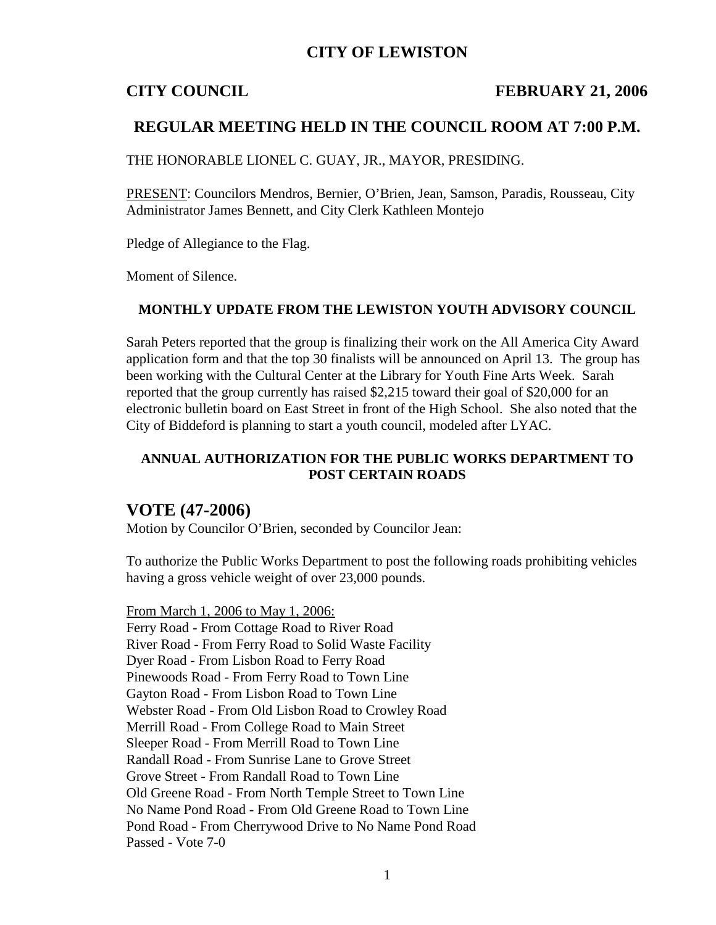# **CITY OF LEWISTON**

## **CITY COUNCIL FEBRUARY 21, 2006**

## **REGULAR MEETING HELD IN THE COUNCIL ROOM AT 7:00 P.M.**

THE HONORABLE LIONEL C. GUAY, JR., MAYOR, PRESIDING.

PRESENT: Councilors Mendros, Bernier, O'Brien, Jean, Samson, Paradis, Rousseau, City Administrator James Bennett, and City Clerk Kathleen Montejo

Pledge of Allegiance to the Flag.

Moment of Silence.

### **MONTHLY UPDATE FROM THE LEWISTON YOUTH ADVISORY COUNCIL**

Sarah Peters reported that the group is finalizing their work on the All America City Award application form and that the top 30 finalists will be announced on April 13. The group has been working with the Cultural Center at the Library for Youth Fine Arts Week. Sarah reported that the group currently has raised \$2,215 toward their goal of \$20,000 for an electronic bulletin board on East Street in front of the High School. She also noted that the City of Biddeford is planning to start a youth council, modeled after LYAC.

## **ANNUAL AUTHORIZATION FOR THE PUBLIC WORKS DEPARTMENT TO POST CERTAIN ROADS**

## **VOTE (47-2006)**

Motion by Councilor O'Brien, seconded by Councilor Jean:

To authorize the Public Works Department to post the following roads prohibiting vehicles having a gross vehicle weight of over 23,000 pounds.

From March 1, 2006 to May 1, 2006: Ferry Road - From Cottage Road to River Road River Road - From Ferry Road to Solid Waste Facility Dyer Road - From Lisbon Road to Ferry Road Pinewoods Road - From Ferry Road to Town Line Gayton Road - From Lisbon Road to Town Line Webster Road - From Old Lisbon Road to Crowley Road Merrill Road - From College Road to Main Street Sleeper Road - From Merrill Road to Town Line Randall Road - From Sunrise Lane to Grove Street Grove Street - From Randall Road to Town Line Old Greene Road - From North Temple Street to Town Line No Name Pond Road - From Old Greene Road to Town Line Pond Road - From Cherrywood Drive to No Name Pond Road Passed - Vote 7-0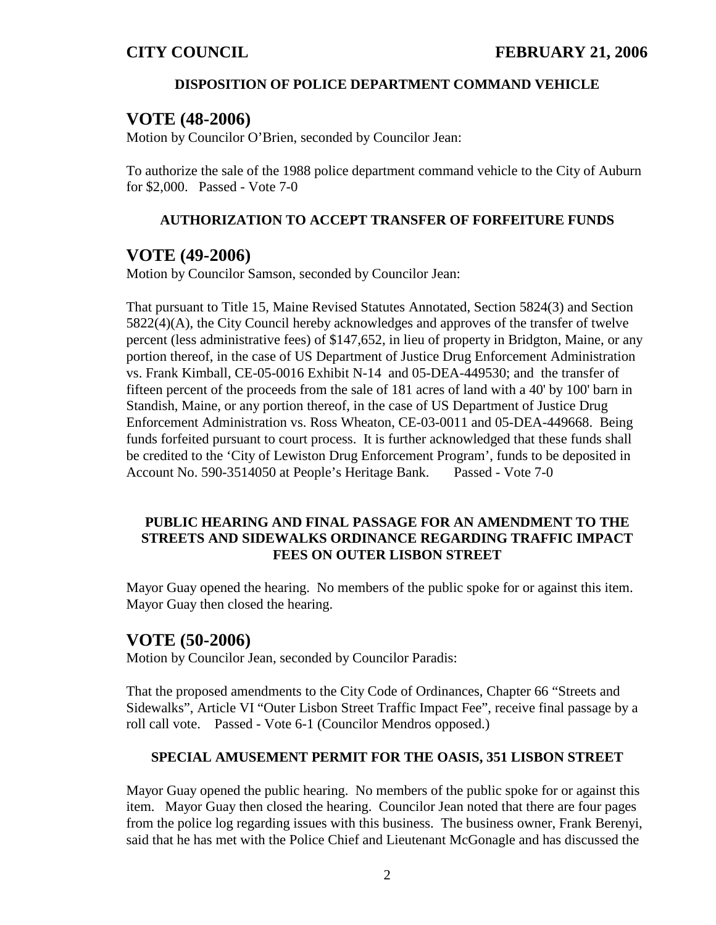## **DISPOSITION OF POLICE DEPARTMENT COMMAND VEHICLE**

# **VOTE (48-2006)**

Motion by Councilor O'Brien, seconded by Councilor Jean:

To authorize the sale of the 1988 police department command vehicle to the City of Auburn for \$2,000. Passed - Vote 7-0

## **AUTHORIZATION TO ACCEPT TRANSFER OF FORFEITURE FUNDS**

# **VOTE (49-2006)**

Motion by Councilor Samson, seconded by Councilor Jean:

That pursuant to Title 15, Maine Revised Statutes Annotated, Section 5824(3) and Section 5822(4)(A), the City Council hereby acknowledges and approves of the transfer of twelve percent (less administrative fees) of \$147,652, in lieu of property in Bridgton, Maine, or any portion thereof, in the case of US Department of Justice Drug Enforcement Administration vs. Frank Kimball, CE-05-0016 Exhibit N-14 and 05-DEA-449530; and the transfer of fifteen percent of the proceeds from the sale of 181 acres of land with a 40' by 100' barn in Standish, Maine, or any portion thereof, in the case of US Department of Justice Drug Enforcement Administration vs. Ross Wheaton, CE-03-0011 and 05-DEA-449668. Being funds forfeited pursuant to court process. It is further acknowledged that these funds shall be credited to the 'City of Lewiston Drug Enforcement Program', funds to be deposited in Account No. 590-3514050 at People's Heritage Bank. Passed - Vote 7-0

## **PUBLIC HEARING AND FINAL PASSAGE FOR AN AMENDMENT TO THE STREETS AND SIDEWALKS ORDINANCE REGARDING TRAFFIC IMPACT FEES ON OUTER LISBON STREET**

Mayor Guay opened the hearing. No members of the public spoke for or against this item. Mayor Guay then closed the hearing.

# **VOTE (50-2006)**

Motion by Councilor Jean, seconded by Councilor Paradis:

That the proposed amendments to the City Code of Ordinances, Chapter 66 "Streets and Sidewalks", Article VI "Outer Lisbon Street Traffic Impact Fee", receive final passage by a roll call vote. Passed - Vote 6-1 (Councilor Mendros opposed.)

## **SPECIAL AMUSEMENT PERMIT FOR THE OASIS, 351 LISBON STREET**

Mayor Guay opened the public hearing. No members of the public spoke for or against this item. Mayor Guay then closed the hearing. Councilor Jean noted that there are four pages from the police log regarding issues with this business. The business owner, Frank Berenyi, said that he has met with the Police Chief and Lieutenant McGonagle and has discussed the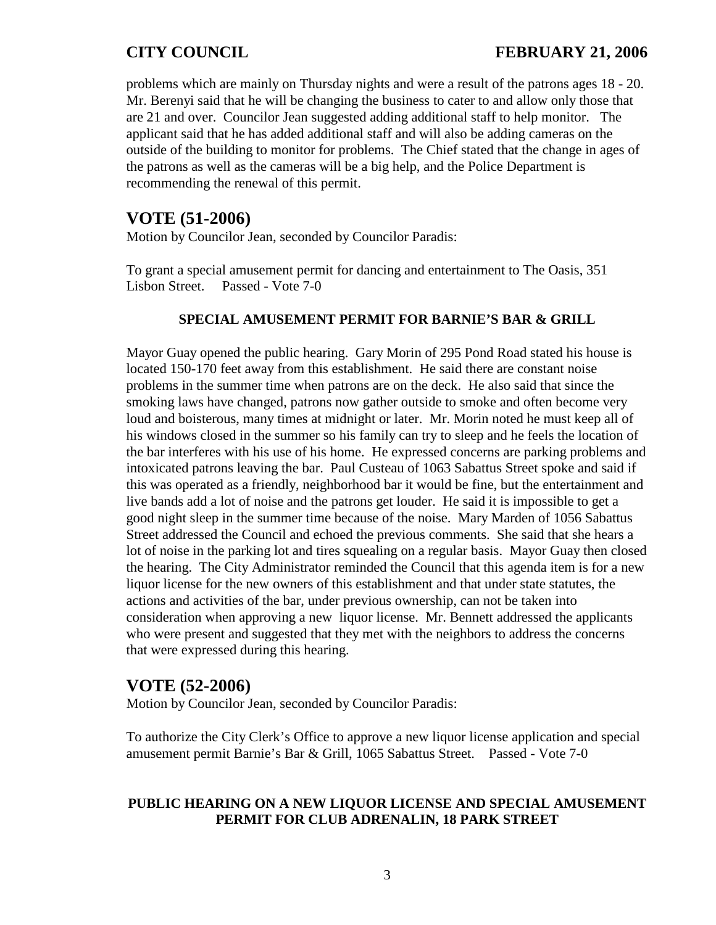# **CITY COUNCIL FEBRUARY 21, 2006**

problems which are mainly on Thursday nights and were a result of the patrons ages 18 - 20. Mr. Berenyi said that he will be changing the business to cater to and allow only those that are 21 and over. Councilor Jean suggested adding additional staff to help monitor. The applicant said that he has added additional staff and will also be adding cameras on the outside of the building to monitor for problems. The Chief stated that the change in ages of the patrons as well as the cameras will be a big help, and the Police Department is recommending the renewal of this permit.

# **VOTE (51-2006)**

Motion by Councilor Jean, seconded by Councilor Paradis:

To grant a special amusement permit for dancing and entertainment to The Oasis, 351 Lisbon Street. Passed - Vote 7-0

## **SPECIAL AMUSEMENT PERMIT FOR BARNIE'S BAR & GRILL**

Mayor Guay opened the public hearing. Gary Morin of 295 Pond Road stated his house is located 150-170 feet away from this establishment. He said there are constant noise problems in the summer time when patrons are on the deck. He also said that since the smoking laws have changed, patrons now gather outside to smoke and often become very loud and boisterous, many times at midnight or later. Mr. Morin noted he must keep all of his windows closed in the summer so his family can try to sleep and he feels the location of the bar interferes with his use of his home. He expressed concerns are parking problems and intoxicated patrons leaving the bar. Paul Custeau of 1063 Sabattus Street spoke and said if this was operated as a friendly, neighborhood bar it would be fine, but the entertainment and live bands add a lot of noise and the patrons get louder. He said it is impossible to get a good night sleep in the summer time because of the noise. Mary Marden of 1056 Sabattus Street addressed the Council and echoed the previous comments. She said that she hears a lot of noise in the parking lot and tires squealing on a regular basis. Mayor Guay then closed the hearing. The City Administrator reminded the Council that this agenda item is for a new liquor license for the new owners of this establishment and that under state statutes, the actions and activities of the bar, under previous ownership, can not be taken into consideration when approving a new liquor license. Mr. Bennett addressed the applicants who were present and suggested that they met with the neighbors to address the concerns that were expressed during this hearing.

# **VOTE (52-2006)**

Motion by Councilor Jean, seconded by Councilor Paradis:

To authorize the City Clerk's Office to approve a new liquor license application and special amusement permit Barnie's Bar & Grill, 1065 Sabattus Street. Passed - Vote 7-0

## **PUBLIC HEARING ON A NEW LIQUOR LICENSE AND SPECIAL AMUSEMENT PERMIT FOR CLUB ADRENALIN, 18 PARK STREET**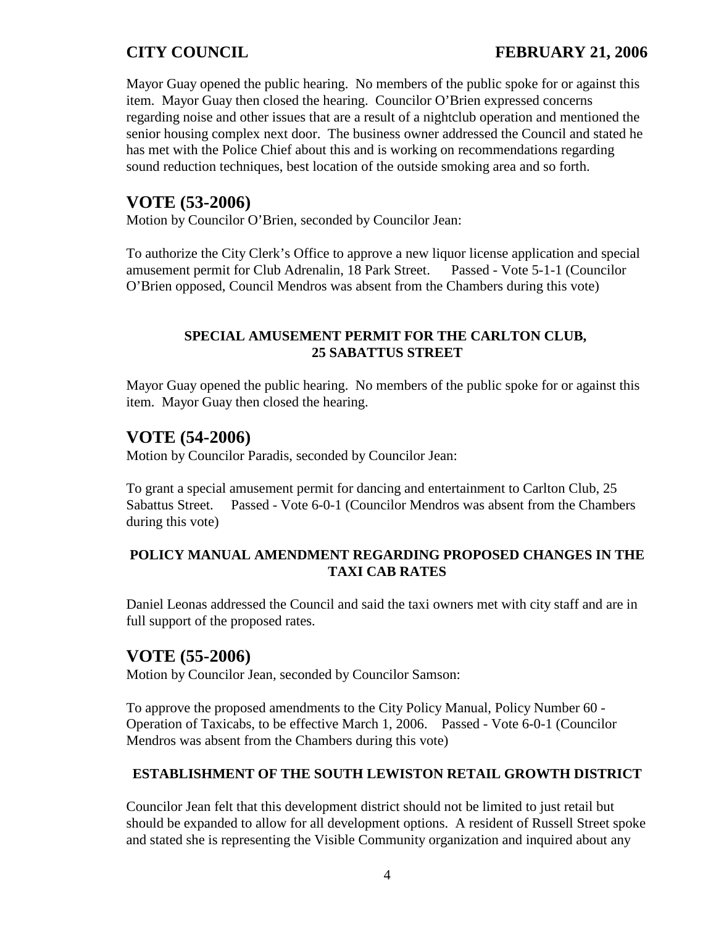# **CITY COUNCIL FEBRUARY 21, 2006**

Mayor Guay opened the public hearing. No members of the public spoke for or against this item. Mayor Guay then closed the hearing. Councilor O'Brien expressed concerns regarding noise and other issues that are a result of a nightclub operation and mentioned the senior housing complex next door. The business owner addressed the Council and stated he has met with the Police Chief about this and is working on recommendations regarding sound reduction techniques, best location of the outside smoking area and so forth.

# **VOTE (53-2006)**

Motion by Councilor O'Brien, seconded by Councilor Jean:

To authorize the City Clerk's Office to approve a new liquor license application and special amusement permit for Club Adrenalin, 18 Park Street. Passed - Vote 5-1-1 (Councilor O'Brien opposed, Council Mendros was absent from the Chambers during this vote)

## **SPECIAL AMUSEMENT PERMIT FOR THE CARLTON CLUB, 25 SABATTUS STREET**

Mayor Guay opened the public hearing. No members of the public spoke for or against this item. Mayor Guay then closed the hearing.

# **VOTE (54-2006)**

Motion by Councilor Paradis, seconded by Councilor Jean:

To grant a special amusement permit for dancing and entertainment to Carlton Club, 25 Sabattus Street. Passed - Vote 6-0-1 (Councilor Mendros was absent from the Chambers during this vote)

## **POLICY MANUAL AMENDMENT REGARDING PROPOSED CHANGES IN THE TAXI CAB RATES**

Daniel Leonas addressed the Council and said the taxi owners met with city staff and are in full support of the proposed rates.

# **VOTE (55-2006)**

Motion by Councilor Jean, seconded by Councilor Samson:

To approve the proposed amendments to the City Policy Manual, Policy Number 60 - Operation of Taxicabs, to be effective March 1, 2006. Passed - Vote 6-0-1 (Councilor Mendros was absent from the Chambers during this vote)

## **ESTABLISHMENT OF THE SOUTH LEWISTON RETAIL GROWTH DISTRICT**

Councilor Jean felt that this development district should not be limited to just retail but should be expanded to allow for all development options. A resident of Russell Street spoke and stated she is representing the Visible Community organization and inquired about any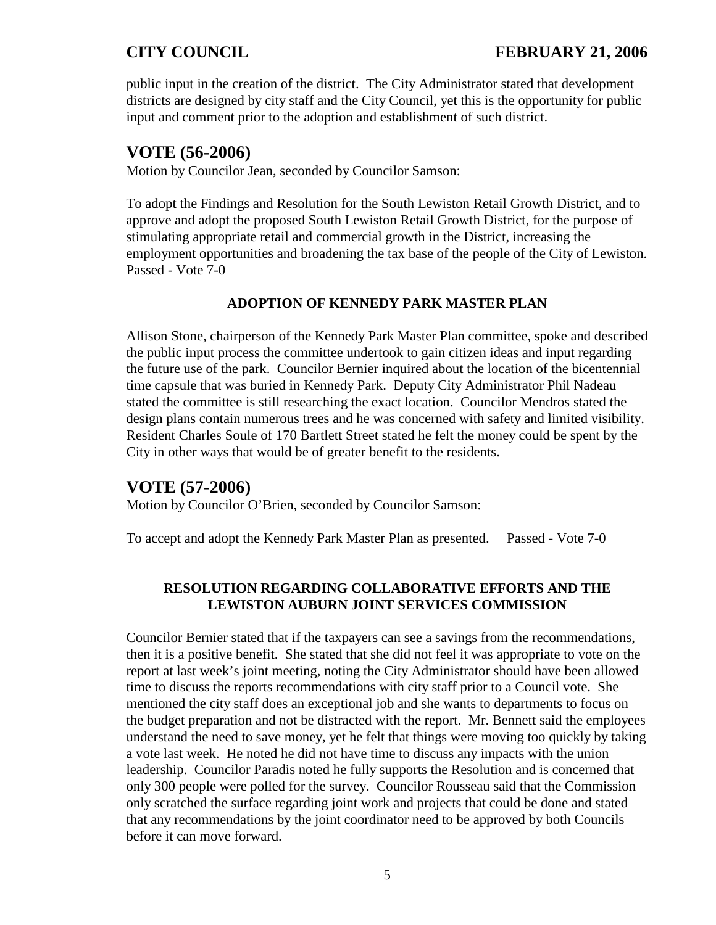public input in the creation of the district. The City Administrator stated that development districts are designed by city staff and the City Council, yet this is the opportunity for public input and comment prior to the adoption and establishment of such district.

# **VOTE (56-2006)**

Motion by Councilor Jean, seconded by Councilor Samson:

To adopt the Findings and Resolution for the South Lewiston Retail Growth District, and to approve and adopt the proposed South Lewiston Retail Growth District, for the purpose of stimulating appropriate retail and commercial growth in the District, increasing the employment opportunities and broadening the tax base of the people of the City of Lewiston. Passed - Vote 7-0

## **ADOPTION OF KENNEDY PARK MASTER PLAN**

Allison Stone, chairperson of the Kennedy Park Master Plan committee, spoke and described the public input process the committee undertook to gain citizen ideas and input regarding the future use of the park. Councilor Bernier inquired about the location of the bicentennial time capsule that was buried in Kennedy Park. Deputy City Administrator Phil Nadeau stated the committee is still researching the exact location. Councilor Mendros stated the design plans contain numerous trees and he was concerned with safety and limited visibility. Resident Charles Soule of 170 Bartlett Street stated he felt the money could be spent by the City in other ways that would be of greater benefit to the residents.

# **VOTE (57-2006)**

Motion by Councilor O'Brien, seconded by Councilor Samson:

To accept and adopt the Kennedy Park Master Plan as presented. Passed - Vote 7-0

## **RESOLUTION REGARDING COLLABORATIVE EFFORTS AND THE LEWISTON AUBURN JOINT SERVICES COMMISSION**

Councilor Bernier stated that if the taxpayers can see a savings from the recommendations, then it is a positive benefit. She stated that she did not feel it was appropriate to vote on the report at last week's joint meeting, noting the City Administrator should have been allowed time to discuss the reports recommendations with city staff prior to a Council vote. She mentioned the city staff does an exceptional job and she wants to departments to focus on the budget preparation and not be distracted with the report. Mr. Bennett said the employees understand the need to save money, yet he felt that things were moving too quickly by taking a vote last week. He noted he did not have time to discuss any impacts with the union leadership. Councilor Paradis noted he fully supports the Resolution and is concerned that only 300 people were polled for the survey. Councilor Rousseau said that the Commission only scratched the surface regarding joint work and projects that could be done and stated that any recommendations by the joint coordinator need to be approved by both Councils before it can move forward.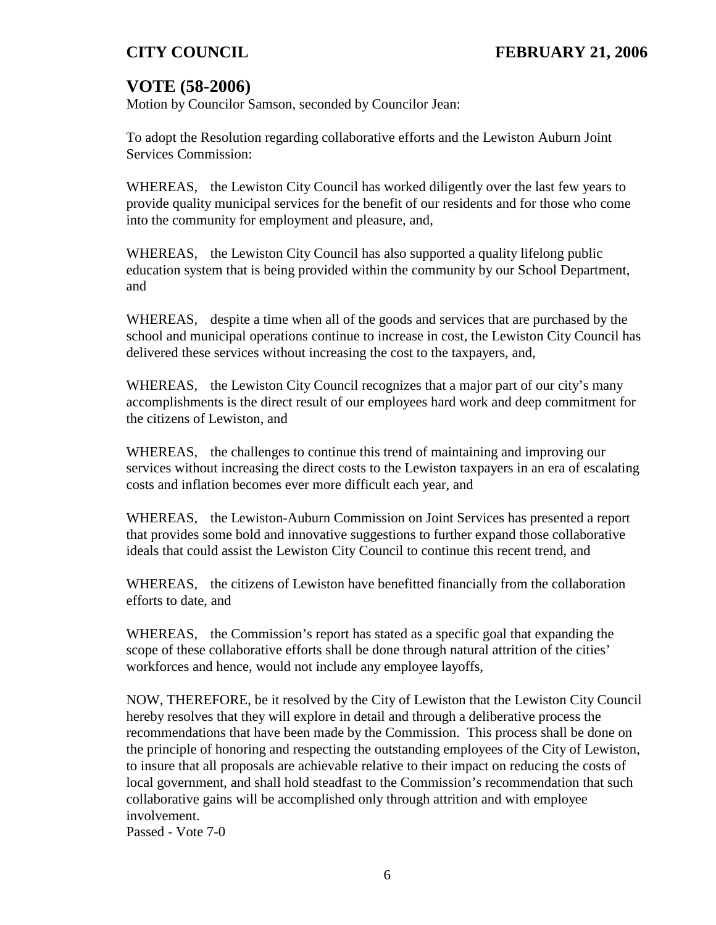# **VOTE (58-2006)**

Motion by Councilor Samson, seconded by Councilor Jean:

To adopt the Resolution regarding collaborative efforts and the Lewiston Auburn Joint Services Commission:

WHEREAS, the Lewiston City Council has worked diligently over the last few years to provide quality municipal services for the benefit of our residents and for those who come into the community for employment and pleasure, and,

WHEREAS, the Lewiston City Council has also supported a quality lifelong public education system that is being provided within the community by our School Department, and

WHEREAS, despite a time when all of the goods and services that are purchased by the school and municipal operations continue to increase in cost, the Lewiston City Council has delivered these services without increasing the cost to the taxpayers, and,

WHEREAS, the Lewiston City Council recognizes that a major part of our city's many accomplishments is the direct result of our employees hard work and deep commitment for the citizens of Lewiston, and

WHEREAS, the challenges to continue this trend of maintaining and improving our services without increasing the direct costs to the Lewiston taxpayers in an era of escalating costs and inflation becomes ever more difficult each year, and

WHEREAS, the Lewiston-Auburn Commission on Joint Services has presented a report that provides some bold and innovative suggestions to further expand those collaborative ideals that could assist the Lewiston City Council to continue this recent trend, and

WHEREAS, the citizens of Lewiston have benefitted financially from the collaboration efforts to date, and

WHEREAS, the Commission's report has stated as a specific goal that expanding the scope of these collaborative efforts shall be done through natural attrition of the cities' workforces and hence, would not include any employee layoffs,

NOW, THEREFORE, be it resolved by the City of Lewiston that the Lewiston City Council hereby resolves that they will explore in detail and through a deliberative process the recommendations that have been made by the Commission. This process shall be done on the principle of honoring and respecting the outstanding employees of the City of Lewiston, to insure that all proposals are achievable relative to their impact on reducing the costs of local government, and shall hold steadfast to the Commission's recommendation that such collaborative gains will be accomplished only through attrition and with employee involvement.

Passed - Vote 7-0